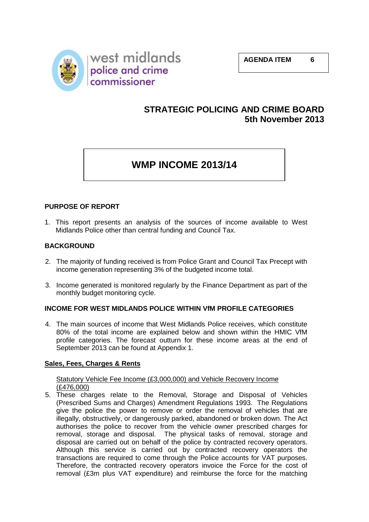

## **STRATEGIC POLICING AND CRIME BOARD 5th November 2013**

## **WMP INCOME 2013/14**

## **PURPOSE OF REPORT**

1. This report presents an analysis of the sources of income available to West Midlands Police other than central funding and Council Tax.

## **BACKGROUND**

- 2. The majority of funding received is from Police Grant and Council Tax Precept with income generation representing 3% of the budgeted income total.
- 3. Income generated is monitored regularly by the Finance Department as part of the monthly budget monitoring cycle.

## **INCOME FOR WEST MIDLANDS POLICE WITHIN VfM PROFILE CATEGORIES**

4. The main sources of income that West Midlands Police receives, which constitute 80% of the total income are explained below and shown within the HMIC VfM profile categories. The forecast outturn for these income areas at the end of September 2013 can be found at Appendix 1.

## **Sales, Fees, Charges & Rents**

#### Statutory Vehicle Fee Income (£3,000,000) and Vehicle Recovery Income (£476,000)

5. These charges relate to the Removal, Storage and Disposal of Vehicles (Prescribed Sums and Charges) Amendment Regulations 1993. The Regulations give the police the power to remove or order the removal of vehicles that are illegally, obstructively, or dangerously parked, abandoned or broken down. The Act authorises the police to recover from the vehicle owner prescribed charges for removal, storage and disposal. The physical tasks of removal, storage and disposal are carried out on behalf of the police by contracted recovery operators. Although this service is carried out by contracted recovery operators the transactions are required to come through the Police accounts for VAT purposes. Therefore, the contracted recovery operators invoice the Force for the cost of removal (£3m plus VAT expenditure) and reimburse the force for the matching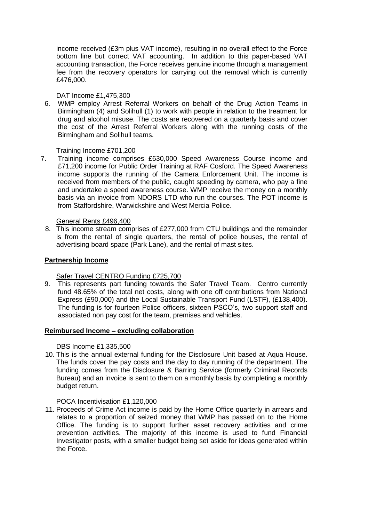income received (£3m plus VAT income), resulting in no overall effect to the Force bottom line but correct VAT accounting. In addition to this paper-based VAT accounting transaction, the Force receives genuine income through a management fee from the recovery operators for carrying out the removal which is currently £476,000.

## DAT Income £1,475,300

6. WMP employ Arrest Referral Workers on behalf of the Drug Action Teams in Birmingham (4) and Solihull (1) to work with people in relation to the treatment for drug and alcohol misuse. The costs are recovered on a quarterly basis and cover the cost of the Arrest Referral Workers along with the running costs of the Birmingham and Solihull teams.

#### Training Income £701,200

7. Training income comprises £630,000 Speed Awareness Course income and £71,200 income for Public Order Training at RAF Cosford. The Speed Awareness income supports the running of the Camera Enforcement Unit. The income is received from members of the public, caught speeding by camera, who pay a fine and undertake a speed awareness course. WMP receive the money on a monthly basis via an invoice from NDORS LTD who run the courses. The POT income is from Staffordshire, Warwickshire and West Mercia Police.

#### General Rents £496,400

8. This income stream comprises of £277,000 from CTU buildings and the remainder is from the rental of single quarters, the rental of police houses, the rental of advertising board space (Park Lane), and the rental of mast sites.

#### **Partnership Income**

## Safer Travel CENTRO Funding £725,700

9. This represents part funding towards the Safer Travel Team. Centro currently fund 48.65% of the total net costs, along with one off contributions from National Express (£90,000) and the Local Sustainable Transport Fund (LSTF), (£138,400). The funding is for fourteen Police officers, sixteen PSCO's, two support staff and associated non pay cost for the team, premises and vehicles.

#### **Reimbursed Income – excluding collaboration**

#### DBS Income £1,335,500

10. This is the annual external funding for the Disclosure Unit based at Aqua House. The funds cover the pay costs and the day to day running of the department. The funding comes from the Disclosure & Barring Service (formerly Criminal Records Bureau) and an invoice is sent to them on a monthly basis by completing a monthly budget return.

#### POCA Incentivisation £1,120,000

11. Proceeds of Crime Act income is paid by the Home Office quarterly in arrears and relates to a proportion of seized money that WMP has passed on to the Home Office. The funding is to support further asset recovery activities and crime prevention activities. The majority of this income is used to fund Financial Investigator posts, with a smaller budget being set aside for ideas generated within the Force.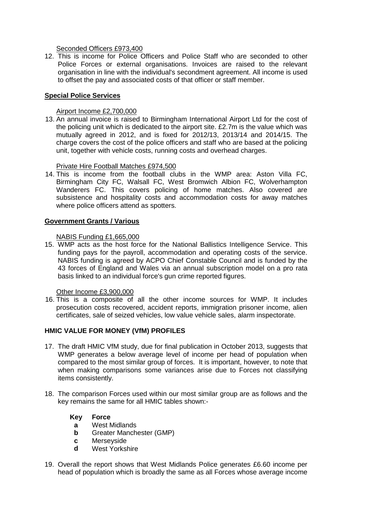Seconded Officers £973,400

12. This is income for Police Officers and Police Staff who are seconded to other Police Forces or external organisations. Invoices are raised to the relevant organisation in line with the individual's secondment agreement. All income is used to offset the pay and associated costs of that officer or staff member.

## **Special Police Services**

Airport Income £2,700,000

13. An annual invoice is raised to Birmingham International Airport Ltd for the cost of the policing unit which is dedicated to the airport site. £2.7m is the value which was mutually agreed in 2012, and is fixed for 2012/13, 2013/14 and 2014/15. The charge covers the cost of the police officers and staff who are based at the policing unit, together with vehicle costs, running costs and overhead charges.

Private Hire Football Matches £974,500

14. This is income from the football clubs in the WMP area: Aston Villa FC, Birmingham City FC, Walsall FC, West Bromwich Albion FC, Wolverhampton Wanderers FC. This covers policing of home matches. Also covered are subsistence and hospitality costs and accommodation costs for away matches where police officers attend as spotters.

#### **Government Grants / Various**

NABIS Funding £1,665,000

15. WMP acts as the host force for the National Ballistics Intelligence Service. This funding pays for the payroll, accommodation and operating costs of the service. NABIS funding is agreed by ACPO Chief Constable Council and is funded by the 43 forces of England and Wales via an annual subscription model on a pro rata basis linked to an individual force's gun crime reported figures.

## Other Income £3,900,000

16. This is a composite of all the other income sources for WMP. It includes prosecution costs recovered, accident reports, immigration prisoner income, alien certificates, sale of seized vehicles, low value vehicle sales, alarm inspectorate.

## **HMIC VALUE FOR MONEY (VfM) PROFILES**

- 17. The draft HMIC VfM study, due for final publication in October 2013, suggests that WMP generates a below average level of income per head of population when compared to the most similar group of forces. It is important, however, to note that when making comparisons some variances arise due to Forces not classifying items consistently.
- 18. The comparison Forces used within our most similar group are as follows and the key remains the same for all HMIC tables shown:-

#### **Key Force**

- **a** West Midlands
- **b** Greater Manchester (GMP)
- **c** Merseyside
- **d** West Yorkshire
- 19. Overall the report shows that West Midlands Police generates £6.60 income per head of population which is broadly the same as all Forces whose average income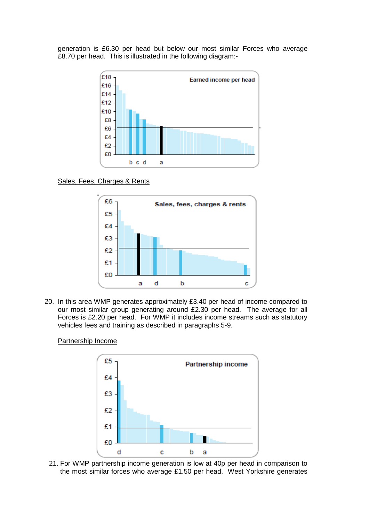generation is £6.30 per head but below our most similar Forces who average £8.70 per head. This is illustrated in the following diagram:-



#### Sales, Fees, Charges & Rents



20. In this area WMP generates approximately £3.40 per head of income compared to our most similar group generating around £2.30 per head. The average for all Forces is £2.20 per head. For WMP it includes income streams such as statutory vehicles fees and training as described in paragraphs 5-9.

#### Partnership Income



21. For WMP partnership income generation is low at 40p per head in comparison to the most similar forces who average £1.50 per head. West Yorkshire generates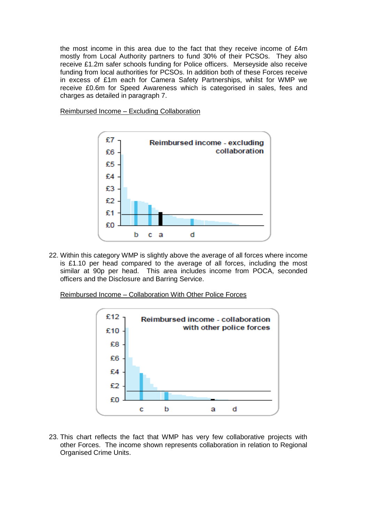the most income in this area due to the fact that they receive income of £4m mostly from Local Authority partners to fund 30% of their PCSOs. They also receive £1.2m safer schools funding for Police officers. Merseyside also receive funding from local authorities for PCSOs. In addition both of these Forces receive in excess of £1m each for Camera Safety Partnerships, whilst for WMP we receive £0.6m for Speed Awareness which is categorised in sales, fees and charges as detailed in paragraph 7.

Reimbursed Income – Excluding Collaboration



22. Within this category WMP is slightly above the average of all forces where income is £1.10 per head compared to the average of all forces, including the most similar at 90p per head. This area includes income from POCA, seconded officers and the Disclosure and Barring Service.

Reimbursed Income – Collaboration With Other Police Forces



23. This chart reflects the fact that WMP has very few collaborative projects with other Forces. The income shown represents collaboration in relation to Regional Organised Crime Units.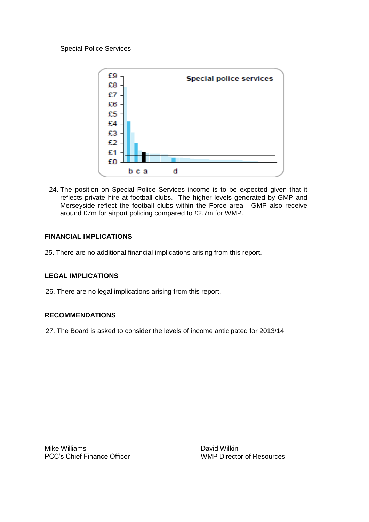

24. The position on Special Police Services income is to be expected given that it reflects private hire at football clubs. The higher levels generated by GMP and Merseyside reflect the football clubs within the Force area. GMP also receive around £7m for airport policing compared to £2.7m for WMP.

## **FINANCIAL IMPLICATIONS**

25. There are no additional financial implications arising from this report.

## **LEGAL IMPLICATIONS**

26. There are no legal implications arising from this report.

## **RECOMMENDATIONS**

27. The Board is asked to consider the levels of income anticipated for 2013/14

Mike Williams **David Wilkin** 

PCC's Chief Finance Officer The MEC's Chief Finance Officer WMP Director of Resources